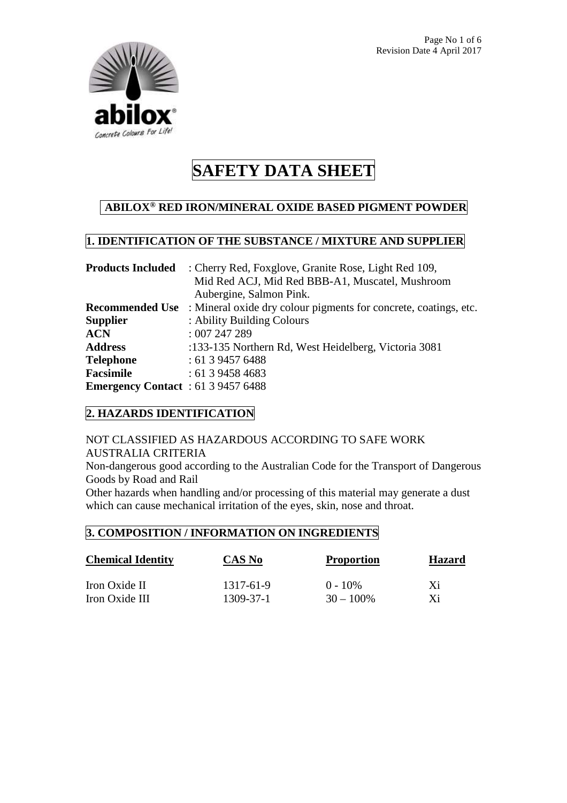

# **ABILOX® RED IRON/MINERAL OXIDE BASED PIGMENT POWDER**

# **1. IDENTIFICATION OF THE SUBSTANCE / MIXTURE AND SUPPLIER**

| <b>Products Included</b>                  | : Cherry Red, Foxglove, Granite Rose, Light Red 109,                                    |  |
|-------------------------------------------|-----------------------------------------------------------------------------------------|--|
|                                           | Mid Red ACJ, Mid Red BBB-A1, Muscatel, Mushroom                                         |  |
|                                           | Aubergine, Salmon Pink.                                                                 |  |
|                                           | <b>Recommended Use</b> : Mineral oxide dry colour pigments for concrete, coatings, etc. |  |
| <b>Supplier</b>                           | : Ability Building Colours                                                              |  |
| <b>ACN</b>                                | :007247289                                                                              |  |
| <b>Address</b>                            | :133-135 Northern Rd, West Heidelberg, Victoria 3081                                    |  |
| <b>Telephone</b>                          | : 61 3 9457 6488                                                                        |  |
| <b>Facsimile</b>                          | : 61394584683                                                                           |  |
| <b>Emergency Contact</b> : 61 3 9457 6488 |                                                                                         |  |

### **2. HAZARDS IDENTIFICATION**

#### NOT CLASSIFIED AS HAZARDOUS ACCORDING TO SAFE WORK AUSTRALIA CRITERIA

Non-dangerous good according to the Australian Code for the Transport of Dangerous Goods by Road and Rail

Other hazards when handling and/or processing of this material may generate a dust which can cause mechanical irritation of the eyes, skin, nose and throat.

## **3. COMPOSITION / INFORMATION ON INGREDIENTS**

| <b>Chemical Identity</b> | CAS No    | <b>Proportion</b> | <b>Hazard</b> |
|--------------------------|-----------|-------------------|---------------|
| Iron Oxide II            | 1317-61-9 | $0 - 10\%$        | Xi            |
| Iron Oxide III           | 1309-37-1 | $30 - 100\%$      | Xi            |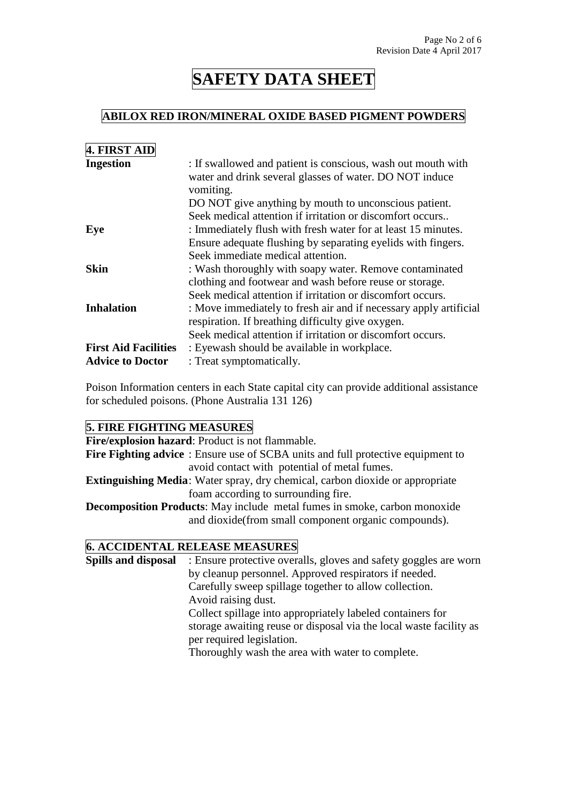#### **ABILOX RED IRON/MINERAL OXIDE BASED PIGMENT POWDERS**

| <b>4. FIRST AID</b>         |                                                                   |
|-----------------------------|-------------------------------------------------------------------|
| <b>Ingestion</b>            | : If swallowed and patient is conscious, wash out mouth with      |
|                             | water and drink several glasses of water. DO NOT induce           |
|                             | vomiting.                                                         |
|                             | DO NOT give anything by mouth to unconscious patient.             |
|                             | Seek medical attention if irritation or discomfort occurs         |
| Eye                         | : Immediately flush with fresh water for at least 15 minutes.     |
|                             | Ensure adequate flushing by separating eyelids with fingers.      |
|                             | Seek immediate medical attention.                                 |
| Skin                        | : Wash thoroughly with soapy water. Remove contaminated           |
|                             | clothing and footwear and wash before reuse or storage.           |
|                             | Seek medical attention if irritation or discomfort occurs.        |
| <b>Inhalation</b>           | : Move immediately to fresh air and if necessary apply artificial |
|                             | respiration. If breathing difficulty give oxygen.                 |
|                             | Seek medical attention if irritation or discomfort occurs.        |
| <b>First Aid Facilities</b> | : Eyewash should be available in workplace.                       |
| <b>Advice to Doctor</b>     | : Treat symptomatically.                                          |

Poison Information centers in each State capital city can provide additional assistance for scheduled poisons. (Phone Australia 131 126)

#### **5. FIRE FIGHTING MEASURES**

**Fire/explosion hazard**: Product is not flammable.

**Fire Fighting advice** : Ensure use of SCBA units and full protective equipment to avoid contact with potential of metal fumes.

**Extinguishing Media**: Water spray, dry chemical, carbon dioxide or appropriate foam according to surrounding fire.

**Decomposition Products**: May include metal fumes in smoke, carbon monoxide and dioxide(from small component organic compounds).

#### **6. ACCIDENTAL RELEASE MEASURES**

**Spills and disposal** : Ensure protective overalls, gloves and safety goggles are worn by cleanup personnel. Approved respirators if needed. Carefully sweep spillage together to allow collection. Avoid raising dust. Collect spillage into appropriately labeled containers for storage awaiting reuse or disposal via the local waste facility as per required legislation. Thoroughly wash the area with water to complete.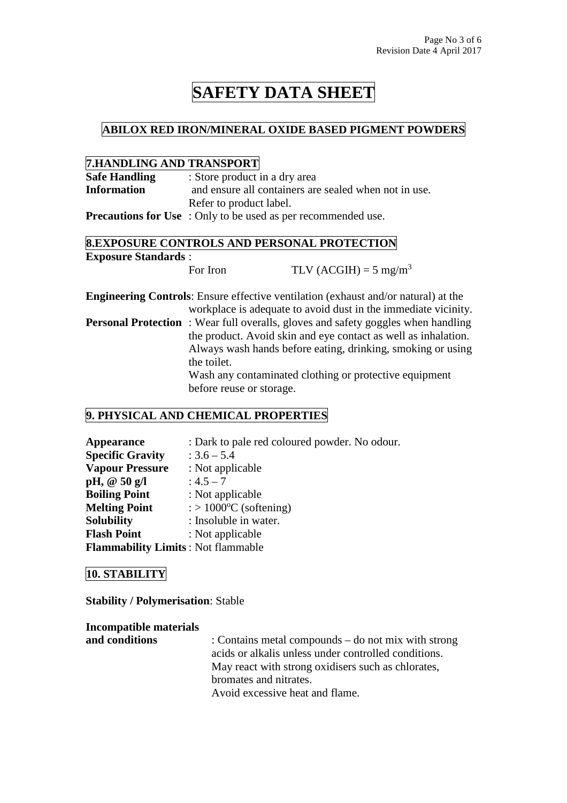#### **ABILOX RED IRON/MINERAL OXIDE BASED PIGMENT POWDERS**

#### **7.HANDLING AND TRANSPORT**

| <b>Safe Handling</b> | : Store product in a dry area                                        |
|----------------------|----------------------------------------------------------------------|
| <b>Information</b>   | and ensure all containers are sealed when not in use.                |
|                      | Refer to product label.                                              |
|                      | <b>Precautions for Use</b> : Only to be used as per recommended use. |

### **8.EXPOSURE CONTROLS AND PERSONAL PROTECTION Exposure Standards** :

For Iron TLV (ACGIH) =  $5 \text{ mg/m}^3$ 

**Engineering Controls**: Ensure effective ventilation (exhaust and/or natural) at the workplace is adequate to avoid dust in the immediate vicinity. **Personal Protection** : Wear full overalls, gloves and safety goggles when handling the product. Avoid skin and eye contact as well as inhalation. Always wash hands before eating, drinking, smoking or using the toilet. Wash any contaminated clothing or protective equipment before reuse or storage.

### **9. PHYSICAL AND CHEMICAL PROPERTIES**

| <b>Appearance</b>                         | : Dark to pale red coloured powder. No odour. |
|-------------------------------------------|-----------------------------------------------|
| <b>Specific Gravity</b>                   | $: 3.6 - 5.4$                                 |
| <b>Vapour Pressure</b>                    | : Not applicable                              |
| pH, $@50 g/l$                             | $: 4.5 - 7$                                   |
| <b>Boiling Point</b>                      | : Not applicable                              |
| <b>Melting Point</b>                      | $\therefore$ 1000 <sup>o</sup> C (softening)  |
| <b>Solubility</b>                         | : Insoluble in water.                         |
| <b>Flash Point</b>                        | : Not applicable                              |
| <b>Flammability Limits: Not flammable</b> |                                               |

#### **10. STABILITY**

**Stability / Polymerisation**: Stable

**Incompatible materials and conditions** : Contains metal compounds – do not mix with strong acids or alkalis unless under controlled conditions. May react with strong oxidisers such as chlorates, bromates and nitrates. Avoid excessive heat and flame.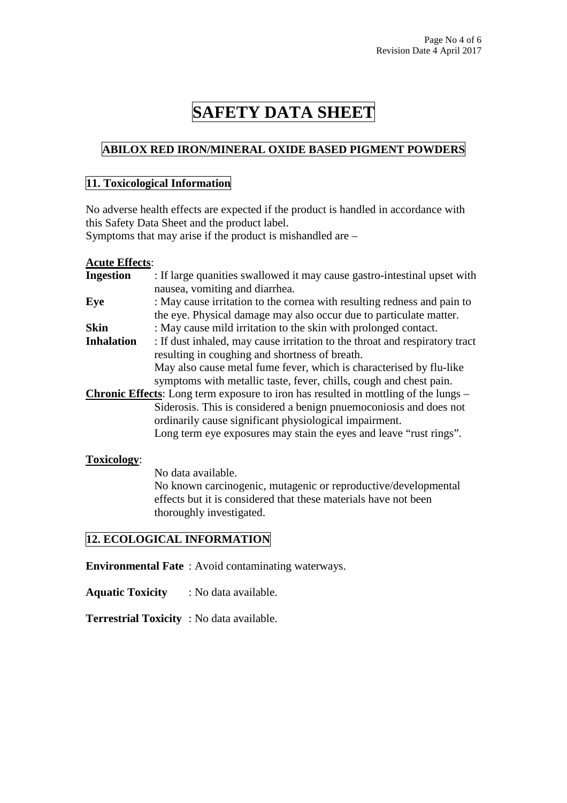## **ABILOX RED IRON/MINERAL OXIDE BASED PIGMENT POWDERS**

#### **11. Toxicological Information**

No adverse health effects are expected if the product is handled in accordance with this Safety Data Sheet and the product label.

Symptoms that may arise if the product is mishandled are –

#### **Acute Effects**:

| <b>Ingestion</b>  | : If large quanities swallowed it may cause gastro-intestinal upset with                   |
|-------------------|--------------------------------------------------------------------------------------------|
|                   | nausea, vomiting and diarrhea.                                                             |
| Eye               | : May cause irritation to the cornea with resulting redness and pain to                    |
|                   | the eye. Physical damage may also occur due to particulate matter.                         |
| <b>Skin</b>       | : May cause mild irritation to the skin with prolonged contact.                            |
| <b>Inhalation</b> | : If dust inhaled, may cause irritation to the throat and respiratory tract                |
|                   | resulting in coughing and shortness of breath.                                             |
|                   | May also cause metal fume fever, which is characterised by flu-like                        |
|                   | symptoms with metallic taste, fever, chills, cough and chest pain.                         |
|                   | <b>Chronic Effects:</b> Long term exposure to iron has resulted in mottling of the lungs – |
|                   | Siderosis. This is considered a benign pnuemoconiosis and does not                         |
|                   | ordinarily cause significant physiological impairment.                                     |
|                   | Long term eye exposures may stain the eyes and leave "rust rings".                         |
| Toxicology:       |                                                                                            |

 No data available. No known carcinogenic, mutagenic or reproductive/developmental effects but it is considered that these materials have not been thoroughly investigated.

## **12. ECOLOGICAL INFORMATION**

**Environmental Fate** : Avoid contaminating waterways.

**Aquatic Toxicity** : No data available.

**Terrestrial Toxicity** : No data available.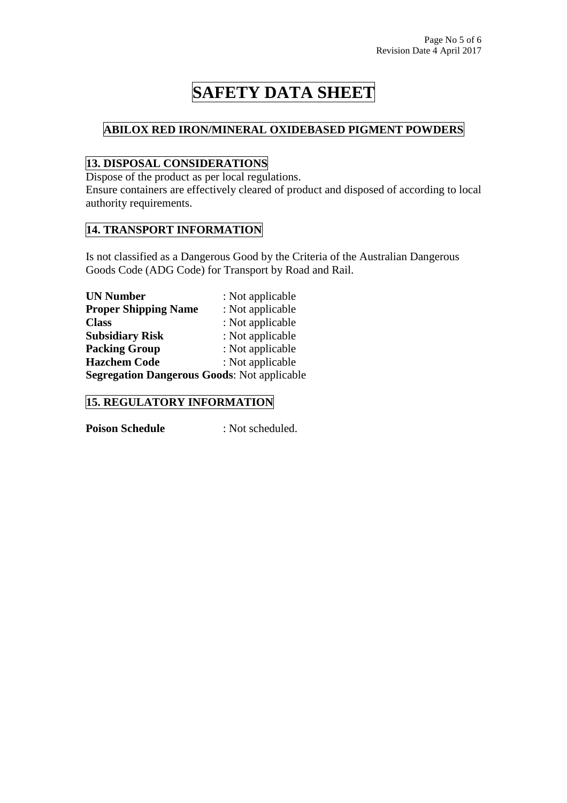## **ABILOX RED IRON/MINERAL OXIDEBASED PIGMENT POWDERS**

## **13. DISPOSAL CONSIDERATIONS**

Dispose of the product as per local regulations.

Ensure containers are effectively cleared of product and disposed of according to local authority requirements.

### **14. TRANSPORT INFORMATION**

Is not classified as a Dangerous Good by the Criteria of the Australian Dangerous Goods Code (ADG Code) for Transport by Road and Rail.

| <b>UN Number</b>                                   | : Not applicable |
|----------------------------------------------------|------------------|
| <b>Proper Shipping Name</b>                        | : Not applicable |
| <b>Class</b>                                       | : Not applicable |
| <b>Subsidiary Risk</b>                             | : Not applicable |
| <b>Packing Group</b>                               | : Not applicable |
| <b>Hazchem Code</b>                                | : Not applicable |
| <b>Segregation Dangerous Goods: Not applicable</b> |                  |

### **15. REGULATORY INFORMATION**

**Poison Schedule** : Not scheduled.